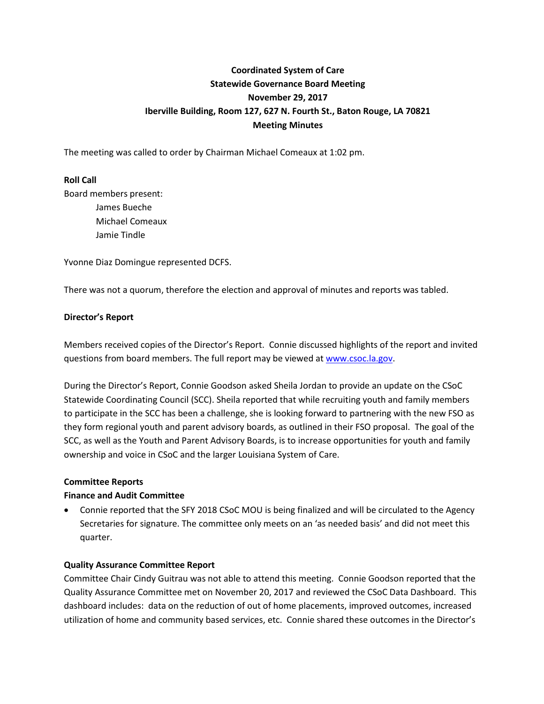# **Coordinated System of Care Statewide Governance Board Meeting November 29, 2017 Iberville Building, Room 127, 627 N. Fourth St., Baton Rouge, LA 70821 Meeting Minutes**

The meeting was called to order by Chairman Michael Comeaux at 1:02 pm.

## **Roll Call**

Board members present: James Bueche Michael Comeaux Jamie Tindle

Yvonne Diaz Domingue represented DCFS.

There was not a quorum, therefore the election and approval of minutes and reports was tabled.

## **Director's Report**

Members received copies of the Director's Report. Connie discussed highlights of the report and invited questions from board members. The full report may be viewed at [www.csoc.la.gov.](http://www.csoc.la.gov/)

During the Director's Report, Connie Goodson asked Sheila Jordan to provide an update on the CSoC Statewide Coordinating Council (SCC). Sheila reported that while recruiting youth and family members to participate in the SCC has been a challenge, she is looking forward to partnering with the new FSO as they form regional youth and parent advisory boards, as outlined in their FSO proposal. The goal of the SCC, as well as the Youth and Parent Advisory Boards, is to increase opportunities for youth and family ownership and voice in CSoC and the larger Louisiana System of Care.

#### **Committee Reports**

#### **Finance and Audit Committee**

 Connie reported that the SFY 2018 CSoC MOU is being finalized and will be circulated to the Agency Secretaries for signature. The committee only meets on an 'as needed basis' and did not meet this quarter.

#### **Quality Assurance Committee Report**

Committee Chair Cindy Guitrau was not able to attend this meeting. Connie Goodson reported that the Quality Assurance Committee met on November 20, 2017 and reviewed the CSoC Data Dashboard. This dashboard includes: data on the reduction of out of home placements, improved outcomes, increased utilization of home and community based services, etc. Connie shared these outcomes in the Director's